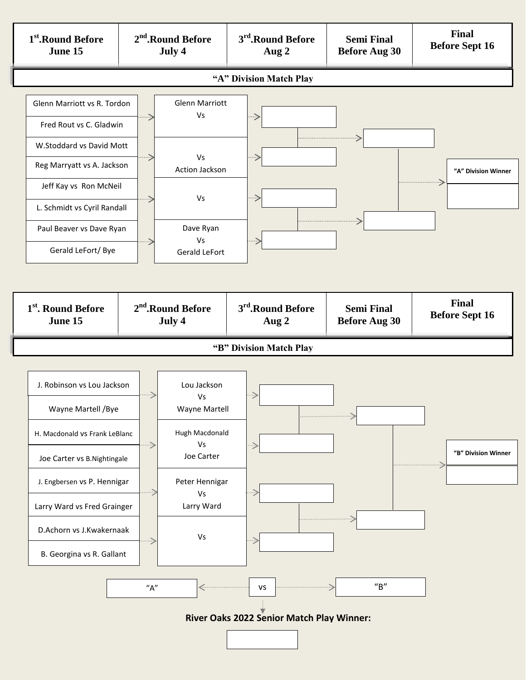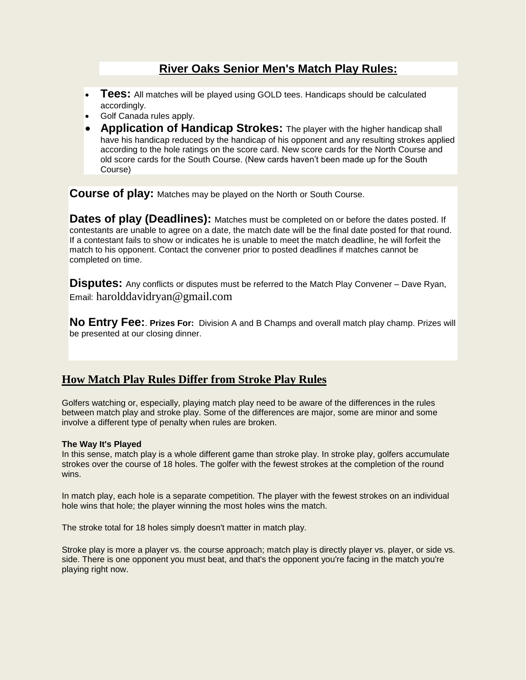# **River Oaks Senior Men's Match Play Rules:**

- **Tees:** All matches will be played using GOLD tees. Handicaps should be calculated accordingly.
- Golf Canada rules apply.
- **Application of Handicap Strokes:** The player with the higher handicap shall have his handicap reduced by the handicap of his opponent and any resulting strokes applied according to the hole ratings on the score card. New score cards for the North Course and old score cards for the South Course. (New cards haven't been made up for the South Course)

**Course of play:** Matches may be played on the North or South Course.

**Dates of play (Deadlines):** Matches must be completed on or before the dates posted. If contestants are unable to agree on a date, the match date will be the final date posted for that round. If a contestant fails to show or indicates he is unable to meet the match deadline, he will forfeit the match to his opponent. Contact the convener prior to posted deadlines if matches cannot be completed on time.

**Disputes:** Any conflicts or disputes must be referred to the Match Play Convener – Dave Ryan, Email: harolddavidryan@gmail.com

**No Entry Fee:**. **Prizes For:** Division A and B Champs and overall match play champ. Prizes will be presented at our closing dinner.

## **How Match Play Rules Differ from Stroke Play Rules**

Golfers watching or, especially, playing match play need to be aware of the differences in the rules between match play and stroke play. Some of the differences are major, some are minor and some involve a different type of penalty when rules are broken.

### **The Way It's Played**

In this sense, match play is a whole different game than stroke play. In stroke play, golfers accumulate strokes over the course of 18 holes. The golfer with the fewest strokes at the completion of the round wins.

In match play, each hole is a separate competition. The player with the fewest strokes on an individual hole wins that hole; the player winning the most holes wins the match.

The stroke total for 18 holes simply doesn't matter in match play.

Stroke play is more a player vs. the course approach; match play is directly player vs. player, or side vs. side. There is one opponent you must beat, and that's the opponent you're facing in the match you're playing right now.